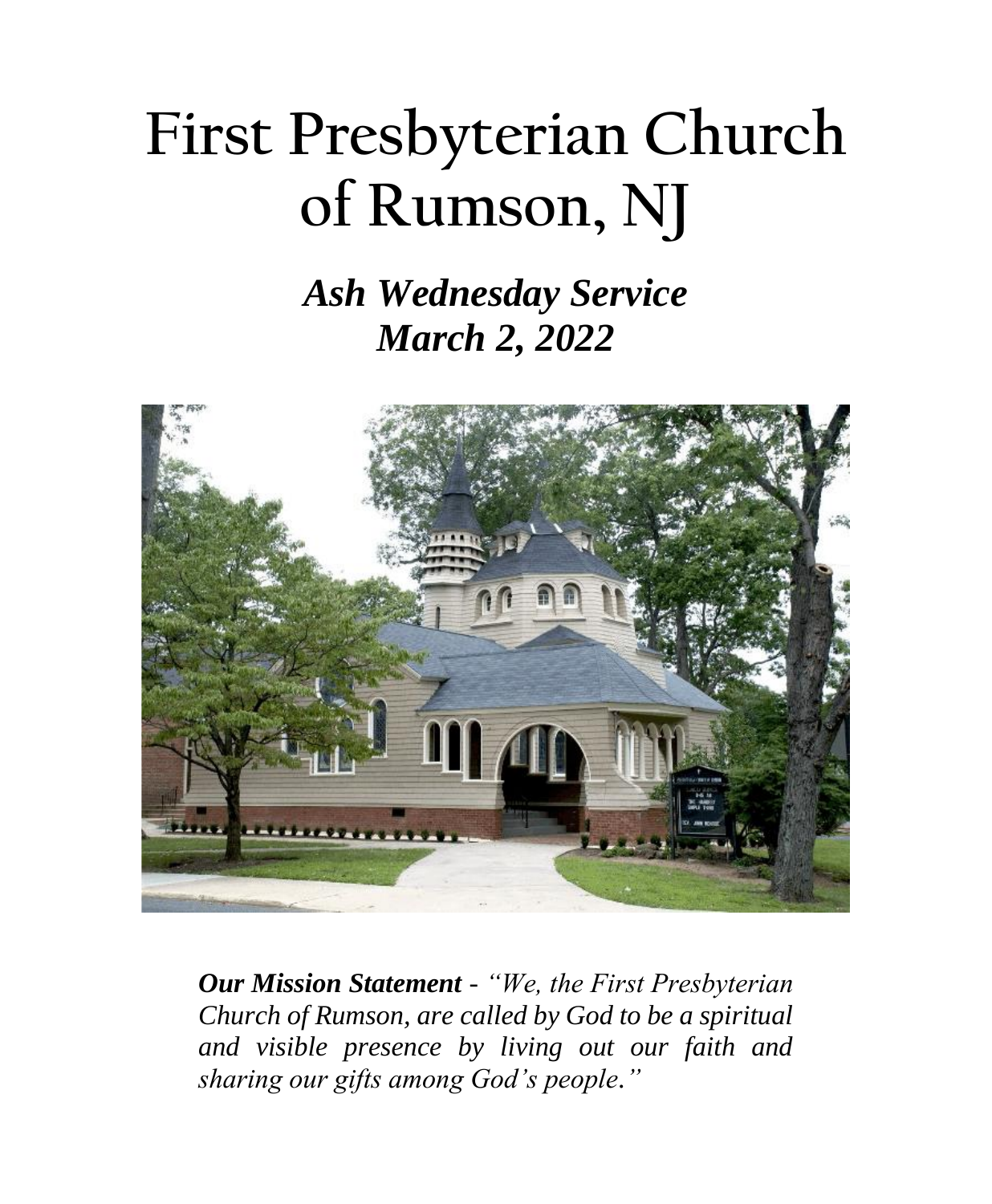# **First Presbyterian Church of Rumson, NJ**

### *Ash Wednesday Service March 2, 2022*



*Our Mission Statement - "We, the First Presbyterian Church of Rumson, are called by God to be a spiritual and visible presence by living out our faith and sharing our gifts among God's people."*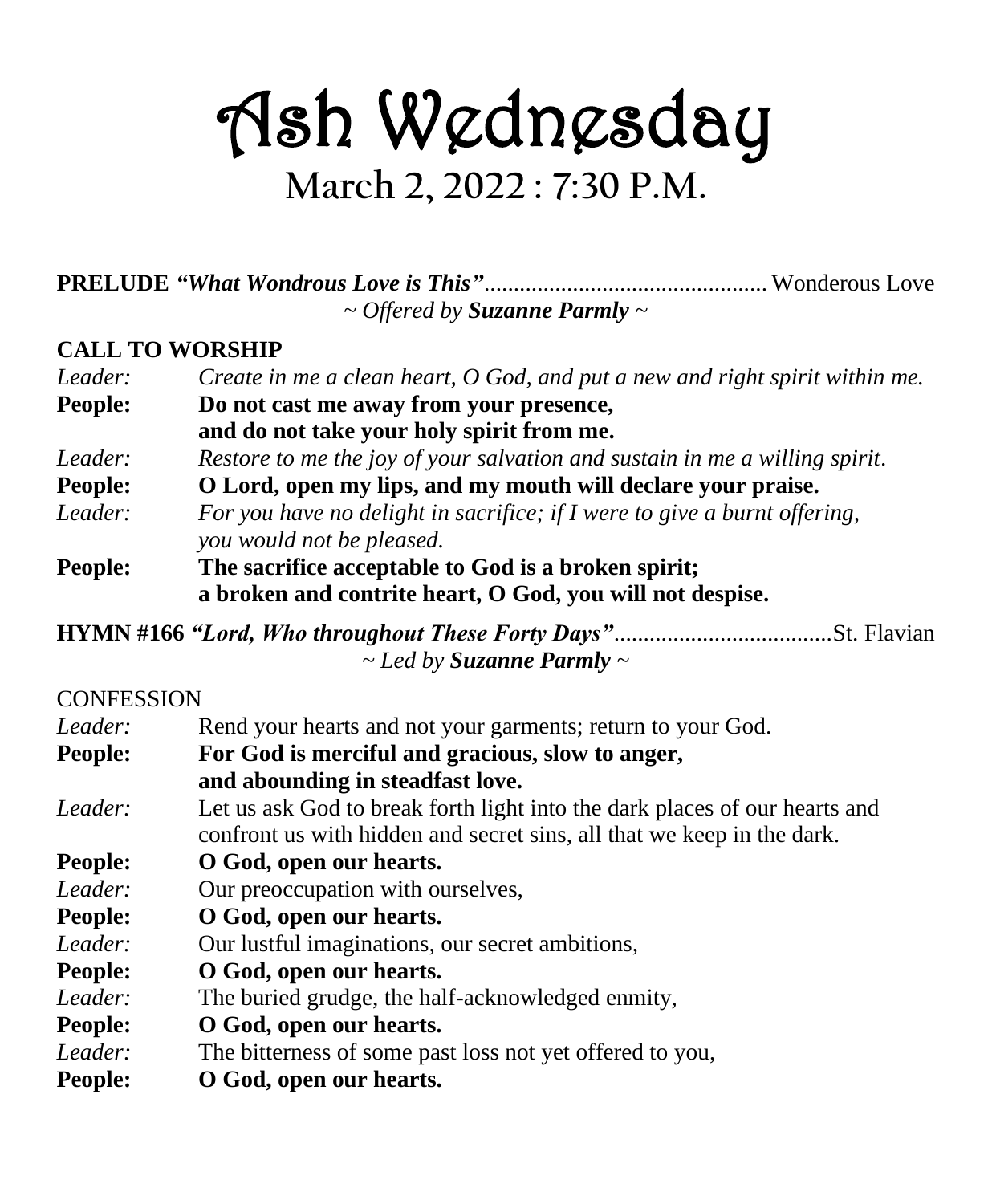## Ash Wednesday **March 2, 2022 : 7:30 P.M.**

**PRELUDE** *"What Wondrous Love is This"*................................................ Wonderous Love *~ Offered by Suzanne Parmly ~*

#### **CALL TO WORSHIP**

| Leader: | Create in me a clean heart, O God, and put a new and right spirit within me. |  |  |
|---------|------------------------------------------------------------------------------|--|--|
| People: | Do not cast me away from your presence,                                      |  |  |
|         | and do not take your holy spirit from me.                                    |  |  |
| Leader: | Restore to me the joy of your salvation and sustain in me a willing spirit.  |  |  |
| People: | O Lord, open my lips, and my mouth will declare your praise.                 |  |  |
| Leader: | For you have no delight in sacrifice; if I were to give a burnt offering,    |  |  |
|         | you would not be pleased.                                                    |  |  |
| People: | The sacrifice acceptable to God is a broken spirit;                          |  |  |
|         | a broken and contrite heart, O God, you will not despise.                    |  |  |

**HYMN #166** *"Lord, Who throughout These Forty Days"*.....................................St. Flavian *~ Led by Suzanne Parmly ~*

#### **CONFESSION**

| Leader:        | Rend your hearts and not your garments; return to your God.                |  |  |
|----------------|----------------------------------------------------------------------------|--|--|
| <b>People:</b> | For God is merciful and gracious, slow to anger,                           |  |  |
|                | and abounding in steadfast love.                                           |  |  |
| Leader:        | Let us ask God to break forth light into the dark places of our hearts and |  |  |
|                | confront us with hidden and secret sins, all that we keep in the dark.     |  |  |
| <b>People:</b> | O God, open our hearts.                                                    |  |  |
| Leader:        | Our preoccupation with ourselves,                                          |  |  |
| <b>People:</b> | O God, open our hearts.                                                    |  |  |
| Leader:        | Our lustful imaginations, our secret ambitions,                            |  |  |
| <b>People:</b> | O God, open our hearts.                                                    |  |  |
| Leader:        | The buried grudge, the half-acknowledged enmity,                           |  |  |
| <b>People:</b> | O God, open our hearts.                                                    |  |  |
| Leader:        | The bitterness of some past loss not yet offered to you,                   |  |  |
| People:        | O God, open our hearts.                                                    |  |  |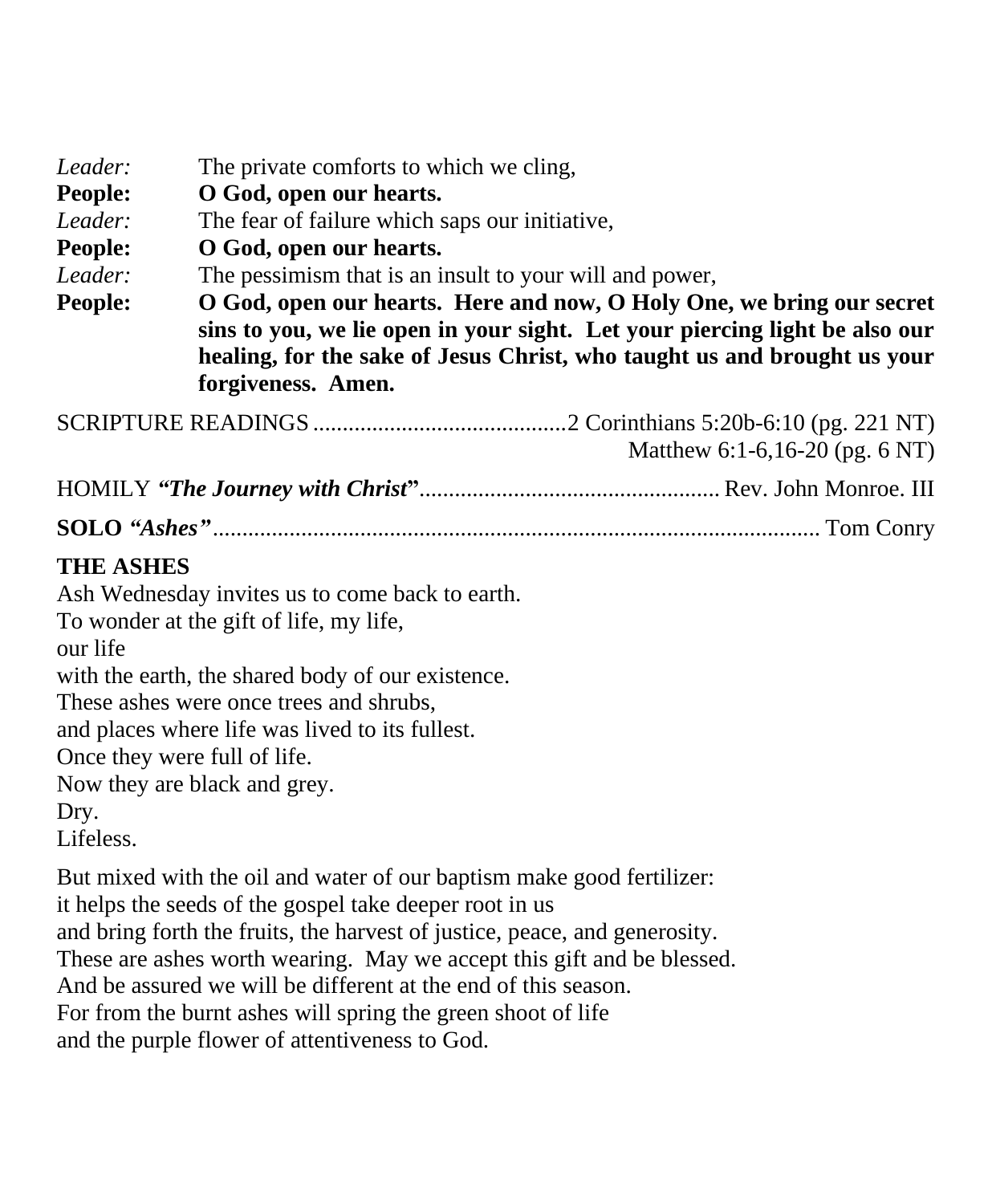| Leader:<br>People:<br>Leader:<br>People:<br>Leader:<br>People: | The private comforts to which we cling,<br>O God, open our hearts.<br>The fear of failure which saps our initiative,<br>O God, open our hearts.<br>The pessimism that is an insult to your will and power,<br>O God, open our hearts. Here and now, O Holy One, we bring our secret<br>sins to you, we lie open in your sight. Let your piercing light be also our<br>healing, for the sake of Jesus Christ, who taught us and brought us your<br>forgiveness. Amen. |                                |  |
|----------------------------------------------------------------|----------------------------------------------------------------------------------------------------------------------------------------------------------------------------------------------------------------------------------------------------------------------------------------------------------------------------------------------------------------------------------------------------------------------------------------------------------------------|--------------------------------|--|
|                                                                |                                                                                                                                                                                                                                                                                                                                                                                                                                                                      | Matthew 6:1-6,16-20 (pg. 6 NT) |  |
|                                                                |                                                                                                                                                                                                                                                                                                                                                                                                                                                                      |                                |  |
|                                                                |                                                                                                                                                                                                                                                                                                                                                                                                                                                                      |                                |  |
| <b>THE ASHES</b><br>our life<br>Dry.<br>Lifeless.              | Ash Wednesday invites us to come back to earth.<br>To wonder at the gift of life, my life,<br>with the earth, the shared body of our existence.<br>These ashes were once trees and shrubs,<br>and places where life was lived to its fullest.<br>Once they were full of life.<br>Now they are black and grey.                                                                                                                                                        |                                |  |
|                                                                | But mixed with the oil and water of our baptism make good fertilizer:<br>it helps the seeds of the gospel take deeper root in us                                                                                                                                                                                                                                                                                                                                     |                                |  |

and bring forth the fruits, the harvest of justice, peace, and generosity.

These are ashes worth wearing. May we accept this gift and be blessed.

And be assured we will be different at the end of this season.

For from the burnt ashes will spring the green shoot of life

and the purple flower of attentiveness to God.